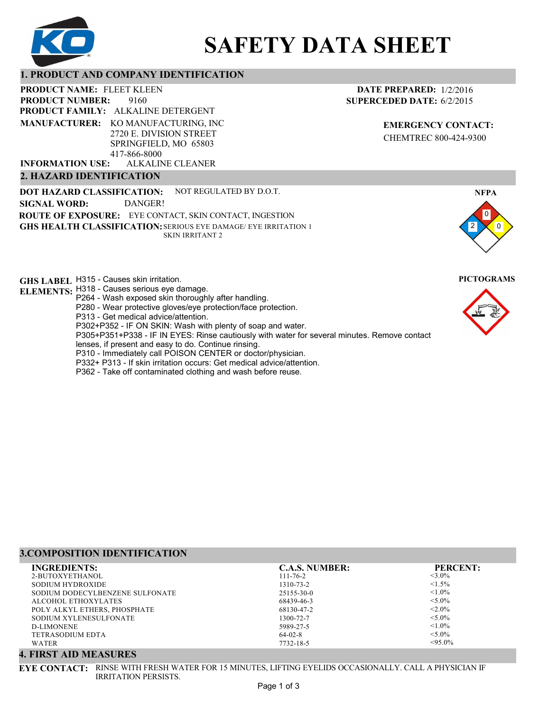

# **SAFETY DATA SHEET**

# **1. PRODUCT AND COMPANY IDENTIFICATION**

9160 PRODUCT NAME: FLEET KLEEN **PRODUCT FAMILY: ALKALINE DETERGENT** ALKALINE CLEANER **PRODUCT NUMBER: MANUFACTURER:** KO MANUFACTURING, INC 2720 E. DIVISION STREET SPRINGFIELD, MO 65803 417-866-8000 **INFORMATION USE:**

#### **2. HAZARD IDENTIFICATION**

**DOT HAZARD CLASSIFICATION: GHS HEALTH CLASSIFICATION:** SERIOUS EYE DAMAGE/ EYE IRRITATION 1 **ROUTE OF EXPOSURE:** EYE CONTACT, SKIN CONTACT, INGESTION NOT REGULATED BY D.O.T. SKIN IRRITANT 2 **SIGNAL WORD:** DANGER!

**GHS LABEL**  H315 - Causes skin irritation. **PICTOGRAMS**

- **ELEMENTS:** H318 Causes serious eye damage.
	- P264 Wash exposed skin thoroughly after handling.
		- P280 Wear protective gloves/eye protection/face protection.
		- P313 Get medical advice/attention.
	- P302+P352 IF ON SKIN: Wash with plenty of soap and water.

P305+P351+P338 - IF IN EYES: Rinse cautiously with water for several minutes. Remove contact

- lenses, if present and easy to do. Continue rinsing.
- P310 Immediately call POISON CENTER or doctor/physician.
- P332+ P313 If skin irritation occurs: Get medical advice/attention.
- P362 Take off contaminated clothing and wash before reuse.

#### **DATE PREPARED:** 1/2/2016 **SUPERCEDED DATE:** 6/2/2015

**EMERGENCY CONTACT:** CHEMTREC 800-424-9300



# **3.COMPOSITION IDENTIFICATION**

| <b>INGREDIENTS:</b>             | <b>C.A.S. NUMBER:</b> | <b>PERCENT:</b> |
|---------------------------------|-----------------------|-----------------|
| 2-BUTOXYETHANOL                 | $111 - 76 - 2$        | $<$ 3.0%        |
| SODIUM HYDROXIDE                | 1310-73-2             | $<1.5\%$        |
| SODIUM DODECYLBENZENE SULFONATE | $25155 - 30 - 0$      | $< 1.0\%$       |
| ALCOHOL ETHOXYLATES             | 68439-46-3            | $< 5.0\%$       |
| POLY ALKYL ETHERS, PHOSPHATE    | 68130-47-2            | $< 2.0\%$       |
| SODIUM XYLENESULFONATE          | 1300-72-7             | $< 5.0\%$       |
| D-LIMONENE                      | 5989-27-5             | $< 1.0\%$       |
| <b>TETRASODIUM EDTA</b>         | $64-02-8$             | $< 5.0\%$       |
| WATER                           | 7732-18-5             | $< 95.0\%$      |

#### **4. FIRST AID MEASURES**

**EYE CONTACT:** RINSE WITH FRESH WATER FOR 15 MINUTES, LIFTING EYELIDS OCCASIONALLY. CALL A PHYSICIAN IF IRRITATION PERSISTS.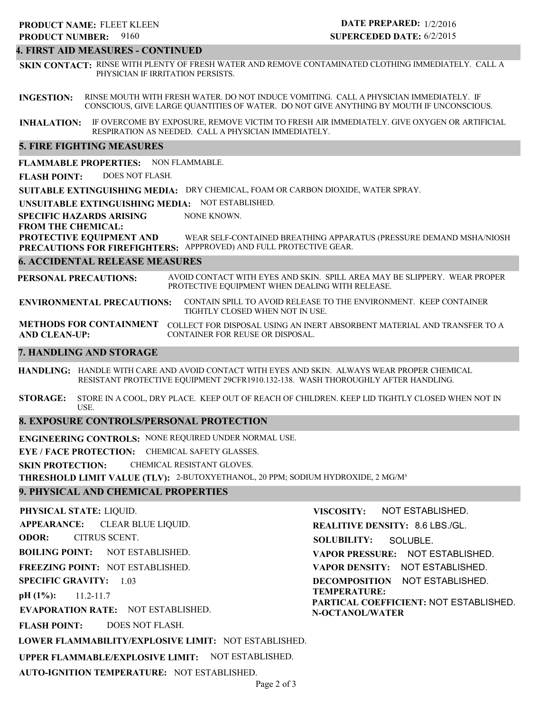# **4. FIRST AID MEASURES - CONTINUED**

**SKIN CONTACT:** RINSE WITH PLENTY OF FRESH WATER AND REMOVE CONTAMINATED CLOTHING IMMEDIATELY. CALL A PHYSICIAN IF IRRITATION PERSISTS.

**INGESTION:** RINSE MOUTH WITH FRESH WATER. DO NOT INDUCE VOMITING. CALL A PHYSICIAN IMMEDIATELY. IF CONSCIOUS, GIVE LARGE QUANTITIES OF WATER. DO NOT GIVE ANYTHING BY MOUTH IF UNCONSCIOUS.

**INHALATION:** IF OVERCOME BY EXPOSURE, REMOVE VICTIM TO FRESH AIR IMMEDIATELY. GIVE OXYGEN OR ARTIFICIAL RESPIRATION AS NEEDED. CALL A PHYSICIAN IMMEDIATELY.

#### **5. FIRE FIGHTING MEASURES**

**FLAMMABLE PROPERTIES:** NON FLAMMABLE.

**FLASH POINT:** DOES NOT FLASH.

**SUITABLE EXTINGUISHING MEDIA:** DRY CHEMICAL, FOAM OR CARBON DIOXIDE, WATER SPRAY.

**UNSUITABLE EXTINGUISHING MEDIA:** NOT ESTABLISHED.

**SPECIFIC HAZARDS ARISING** NONE KNOWN.

**FROM THE CHEMICAL:**

**PROTECTIVE EQUIPMENT AND PRECAUTIONS FOR FIREFIGHTERS:** APPPROVED) AND FULL PROTECTIVE GEAR. WEAR SELF-CONTAINED BREATHING APPARATUS (PRESSURE DEMAND MSHA/NIOSH

#### **6. ACCIDENTAL RELEASE MEASURES**

**PERSONAL PRECAUTIONS:** AVOID CONTACT WITH EYES AND SKIN. SPILL AREA MAY BE SLIPPERY. WEAR PROPER PROTECTIVE EQUIPMENT WHEN DEALING WITH RELEASE.

**ENVIRONMENTAL PRECAUTIONS:** CONTAIN SPILL TO AVOID RELEASE TO THE ENVIRONMENT. KEEP CONTAINER TIGHTLY CLOSED WHEN NOT IN USE.

**METHODS FOR CONTAINMENT** COLLECT FOR DISPOSAL USING AN INERT ABSORBENT MATERIAL AND TRANSFER TO A **AND CLEAN-UP:** CONTAINER FOR REUSE OR DISPOSAL.

#### **7. HANDLING AND STORAGE**

**HANDLING:** HANDLE WITH CARE AND AVOID CONTACT WITH EYES AND SKIN. ALWAYS WEAR PROPER CHEMICAL RESISTANT PROTECTIVE EQUIPMENT 29CFR1910.132-138. WASH THOROUGHLY AFTER HANDLING.

**STORAGE:** STORE IN A COOL, DRY PLACE. KEEP OUT OF REACH OF CHILDREN. KEEP LID TIGHTLY CLOSED WHEN NOT IN USE.

#### **8. EXPOSURE CONTROLS/PERSONAL PROTECTION**

**ENGINEERING CONTROLS:** NONE REQUIRED UNDER NORMAL USE.

**EYE / FACE PROTECTION:** CHEMICAL SAFETY GLASSES.

**SKIN PROTECTION:** CHEMICAL RESISTANT GLOVES.

**THRESHOLD LIMIT VALUE (TLV):** 2-BUTOXYETHANOL, 20 PPM; SODIUM HYDROXIDE, 2 MG/M³

# **9. PHYSICAL AND CHEMICAL PROPERTIES**

**PHYSICAL STATE:** LIQUID. **APPEARANCE: ODOR: BOILING POINT:** NOT ESTABLISHED. **FREEZING POINT:** NOT ESTABLISHED. **SPECIFIC GRAVITY:** 1.03 **pH (1%): EVAPORATION RATE:** NOT ESTABLISHED. **FLASH POINT: LOWER FLAMMABILITY/EXPLOSIVE LIMIT:** NOT ESTABLISHED. **UPPER FLAMMABLE/EXPLOSIVE LIMIT:** NOT ESTABLISHED. 11.2-11.7 DOES NOT FLASH. CLEAR BLUE LIQUID. CITRUS SCENT. **VISCOSITY: REALITIVE DENSITY:** 8.6 LBS./GL. **SOLUBILITY: VAPOR PRESSURE:** NOT ESTABLISHED. **VAPOR DENSITY:** NOT ESTABLISHED. **DECOMPOSITION** NOT ESTABLISHED. **TEMPERATURE: PARTICAL COEFFICIENT:** NOT ESTABLISHED. **N-OCTANOL/WATER** NOT ESTABLISHED. SOLUBLE.

**AUTO-IGNITION TEMPERATURE:** NOT ESTABLISHED.